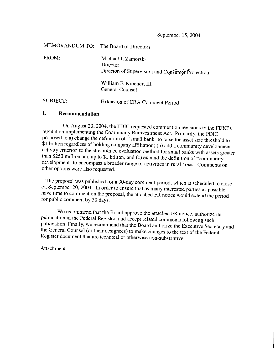September 15, 2004

| <b>MEMORANDUM TO:</b> | The Board of Directors                                                             |
|-----------------------|------------------------------------------------------------------------------------|
| FROM:                 | Michael J. Zamorski<br>Director<br>Division of Supervision and Consumer Protection |
|                       | William F. Kroener, III<br>General Counsel                                         |
| SUBJECT:              | Extension of CRA Comment Period                                                    |

## I. **Recommendation**

On August 20, 2004, the FDIC requested comment on revisions to the FDIC's<br>regulation implementing the Community Reinvestment Act. Primarily, the FDIC<br>proposed to a) change the definition of "small bank" to raise the asset other options were also requested.

The proposal was published for a 30-day comment period, which is scheduled to close on September 20, 2004. In order to ensure that as many interested parties as possible have time to comment on the proposal, the attached FR notice would extend the period for public comment by 30 days.

We recommend that the Board approve the attached FR notice, authorize its<br>publication in the Federal Register, and accept related comments following such<br>publication Finally, we recommend that the Board authorize the Execu Register document that are technical or otherwise non-substantive.

Attachment